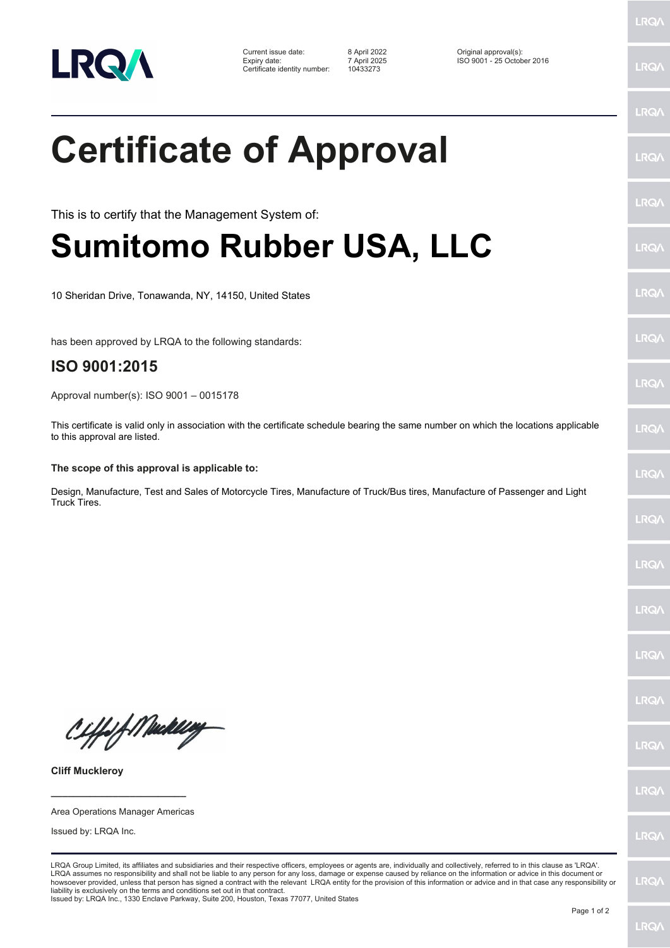

| Current issue date:          | 8 April 2022 | Original approval(s):      |
|------------------------------|--------------|----------------------------|
| Expiry date:                 | 7 April 2025 | ISO 9001 - 25 October 2016 |
| Certificate identity number: | 10433273     |                            |

LRQ/

LRQ/

## LRQ/ **Certificate of Approval** LRQ/ LRQ/ This is to certify that the Management System of: **Sumitomo Rubber USA, LLC** LRQ/ **LRQ/** 10 Sheridan Drive, Tonawanda, NY, 14150, United States LRQ/ has been approved by LRQA to the following standards: **ISO 9001:2015 LRQA** Approval number(s): ISO 9001 – 0015178 This certificate is valid only in association with the certificate schedule bearing the same number on which the locations applicable LRQ/ to this approval are listed. **The scope of this approval is applicable to:** LRQ/ Design, Manufacture, Test and Sales of Motorcycle Tires, Manufacture of Truck/Bus tires, Manufacture of Passenger and Light Truck Tires.LRQ/ **LRQ/ LRQ/** LRQ/ **IRQA** Ciffe/f Mackey LRQ/ **Cliff Muckleroy LRQ/ \_\_\_\_\_\_\_\_\_\_\_\_\_\_\_\_\_\_\_\_\_\_\_\_** Area Operations Manager Americas Issued by: LRQA Inc. **LRQ/** LRQA Group Limited, its affiliates and subsidiaries and their respective officers, employees or agents are, individually and collectively, referred to in this clause as 'LRQA'. LRQA assumes no responsibility and shall not be liable to any person for any loss, damage or expense caused by reliance on the information or advice in this document or<br>howsoever provided, unless that person has signed a c LRQ/ liability is exclusively on the terms and conditions set out in that contract. Issued by: LRQA Inc., 1330 Enclave Parkway, Suite 200, Houston, Texas 77077, United States